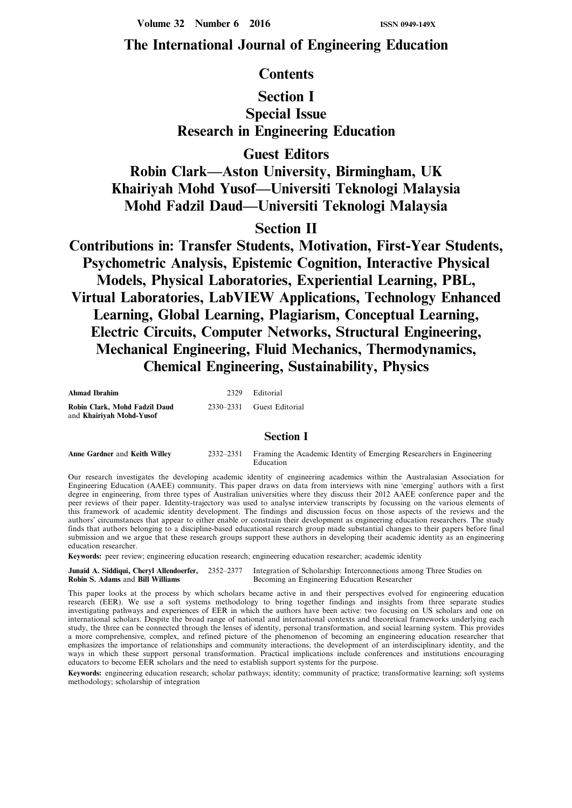**Volume 32 Number 6 2016 ISSN 0949-149X** 

# **The International Journal of Engineering Education**

## **Contents**

# **Section I Special Issue Research in Engineering Education**

**Guest Editors**

**Robin Clark—Aston University, Birmingham, UK Khairiyah Mohd Yusof—Universiti Teknologi Malaysia Mohd Fadzil Daud—Universiti Teknologi Malaysia**

## **Section II**

**Contributions in: Transfer Students, Motivation, First-Year Students, Psychometric Analysis, Epistemic Cognition, Interactive Physical Models, Physical Laboratories, Experiential Learning, PBL, Virtual Laboratories, LabVIEW Applications, Technology Enhanced Learning, Global Learning, Plagiarism, Conceptual Learning, Electric Circuits, Computer Networks, Structural Engineering, Mechanical Engineering, Fluid Mechanics, Thermodynamics, Chemical Engineering, Sustainability, Physics**

| <b>Ahmad Ibrahim</b>                                      | 2329 Editorial            |
|-----------------------------------------------------------|---------------------------|
| Robin Clark, Mohd Fadzil Daud<br>and Khairivah Mohd-Yusof | 2330–2331 Guest Editorial |

### **Section I**

| Anne Gardner and Keith Willev | 2332–2351 • Framing the Academic Identity of Emerging Researchers in Engineering |  |  |
|-------------------------------|----------------------------------------------------------------------------------|--|--|
|                               | Education                                                                        |  |  |

Our research investigates the developing academic identity of engineering academics within the Australasian Association for Engineering Education (AAEE) community. This paper draws on data from interviews with nine 'emerging' authors with a first degree in engineering, from three types of Australian universities where they discuss their 2012 AAEE conference paper and the peer reviews of their paper. Identity-trajectory was used to analyse interview transcripts by focussing on the various elements of this framework of academic identity development. The findings and discussion focus on those aspects of the reviews and the authors' circumstances that appear to either enable or constrain their development as engineering education researchers. The study finds that authors belonging to a discipline-based educational research group made substantial changes to their papers before final submission and we argue that these research groups support these authors in developing their academic identity as an engineering education researcher.

**Keywords:** peer review; engineering education research; engineering education researcher; academic identity

**Junaid A. Siddiqui, Cheryl Allendoerfer,** 2352–2377 Integration of Scholarship: Interconnections among Three Studies on **Robin S. Adams** and **Bill Williams** Becoming an Engineering Education Researcher **Becoming an Engineering Education Researcher** 

This paper looks at the process by which scholars became active in and their perspectives evolved for engineering education research (EER). We use a soft systems methodology to bring together findings and insights from three separate studies investigating pathways and experiences of EER in which the authors have been active: two focusing on US scholars and one on international scholars. Despite the broad range of national and international contexts and theoretical frameworks underlying each study, the three can be connected through the lenses of identity, personal transformation, and social learning system. This provides a more comprehensive, complex, and refined picture of the phenomenon of becoming an engineering education researcher that emphasizes the importance of relationships and community interactions, the development of an interdisciplinary identity, and the ways in which these support personal transformation. Practical implications include conferences and institutions encouraging educators to become EER scholars and the need to establish support systems for the purpose.

**Keywords:** engineering education research; scholar pathways; identity; community of practice; transformative learning; soft systems methodology; scholarship of integration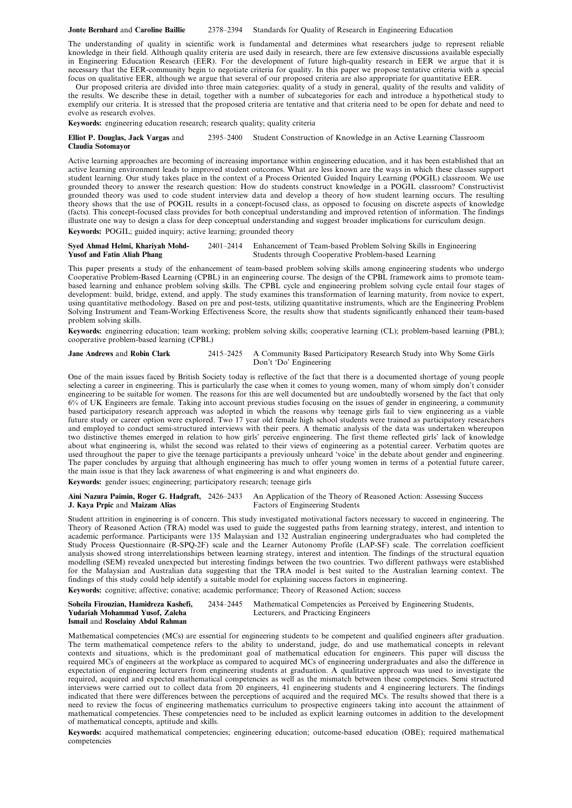#### **Jonte Bernhard** and **Caroline Baillie** 2378–2394 Standards for Quality of Research in Engineering Education

The understanding of quality in scientific work is fundamental and determines what researchers judge to represent reliable knowledge in their field. Although quality criteria are used daily in research, there are few extensive discussions available especially in Engineering Education Research (EER). For the development of future high-quality research in EER we argue that it is necessary that the EER-community begin to negotiate criteria for quality. In this paper we propose tentative criteria with a special focus on qualitative EER, although we argue that several of our proposed criteria are also appropriate for quantitative EER.

Our proposed criteria are divided into three main categories: quality of a study in general, quality of the results and validity of the results. We describe these in detail, together with a number of subcategories for each and introduce a hypothetical study to exemplify our criteria. It is stressed that the proposed criteria are tentative and that criteria need to be open for debate and need to evolve as research evolves.

**Keywords:** engineering education research; research quality; quality criteria

**Elliot P. Douglas, Jack Vargas** and 2395–2400 Student Construction of Knowledge in an Active Learning Classroom **Claudia Sotomayor**

Active learning approaches are becoming of increasing importance within engineering education, and it has been established that an active learning environment leads to improved student outcomes. What are less known are the ways in which these classes support student learning. Our study takes place in the context of a Process Oriented Guided Inquiry Learning (POGIL) classroom. We use grounded theory to answer the research question: How do students construct knowledge in a POGIL classroom? Constructivist grounded theory was used to code student interview data and develop a theory of how student learning occurs. The resulting theory shows that the use of POGIL results in a concept-focused class, as opposed to focusing on discrete aspects of knowledge (facts). This concept-focused class provides for both conceptual understanding and improved retention of information. The findings illustrate one way to design a class for deep conceptual understanding and suggest broader implications for curriculum design. **Keywords:** POGIL; guided inquiry; active learning; grounded theory

**Syed Ahmad Helmi, Khariyah Mohd-** 2401–2414 Enhancement of Team-based Problem Solving Skills in Engineering **Yusof and Fatin Aliah Phang** Students through Cooperative Problem-based Learning

This paper presents a study of the enhancement of team-based problem solving skills among engineering students who undergo Cooperative Problem-Based Learning (CPBL) in an engineering course. The design of the CPBL framework aims to promote teambased learning and enhance problem solving skills. The CPBL cycle and engineering problem solving cycle entail four stages of development: build, bridge, extend, and apply. The study examines this transformation of learning maturity, from novice to expert, using quantitative methodology. Based on pre and post-tests, utilizing quantitative instruments, which are the Engineering Problem Solving Instrument and Team-Working Effectiveness Score, the results show that students significantly enhanced their team-based problem solving skills.

**Keywords:** engineering education; team working; problem solving skills; cooperative learning (CL); problem-based learning (PBL); cooperative problem-based learning (CPBL)

**Jane Andrews** and **Robin Clark** 2415–2425 A Community Based Participatory Research Study into Why Some Girls Don't 'Do' Engineering

One of the main issues faced by British Society today is reflective of the fact that there is a documented shortage of young people selecting a career in engineering. This is particularly the case when it comes to young women, many of whom simply don't consider engineering to be suitable for women. The reasons for this are well documented but are undoubtedly worsened by the fact that only 6% of UK Engineers are female. Taking into account previous studies focusing on the issues of gender in engineering, a community based participatory research approach was adopted in which the reasons why teenage girls fail to view engineering as a viable future study or career option were explored. Two 17 year old female high school students were trained as participatory researchers and employed to conduct semi-structured interviews with their peers. A thematic analysis of the data was undertaken whereupon two distinctive themes emerged in relation to how girls' perceive engineering. The first theme reflected girls' lack of knowledge about what engineering is, whilst the second was related to their views of engineering as a potential career. Verbatim quotes are used throughout the paper to give the teenage participants a previously unheard 'voice' in the debate about gender and engineering. The paper concludes by arguing that although engineering has much to offer young women in terms of a potential future career, the main issue is that they lack awareness of what engineering is and what engineers do.

**Keywords:** gender issues; engineering; participatory research; teenage girls

**Aini Nazura Paimin, Roger G. Hadgraft,** 2426–2433 An Application of the Theory of Reasoned Action: Assessing Success **J. Kaya Prpic** and Maizam Alias

Student attrition in engineering is of concern. This study investigated motivational factors necessary to succeed in engineering. The Theory of Reasoned Action (TRA) model was used to guide the suggested paths from learning strategy, interest, and intention to academic performance. Participants were 135 Malaysian and 132 Australian engineering undergraduates who had completed the Study Process Questionnaire (R-SPQ-2F) scale and the Learner Autonomy Profile (LAP-SF) scale. The correlation coefficient analysis showed strong interrelationships between learning strategy, interest and intention. The findings of the structural equation modelling (SEM) revealed unexpected but interesting findings between the two countries. Two different pathways were established for the Malaysian and Australian data suggesting that the TRA model is best suited to the Australian learning context. The findings of this study could help identify a suitable model for explaining success factors in engineering.

**Keywords:** cognitive; affective; conative; academic performance; Theory of Reasoned Action; success

| Soheila Firouzian. Hamidreza Kashefi. | 2434–2445 Mathematical Competencies as Perceived by Engineering Students, |
|---------------------------------------|---------------------------------------------------------------------------|
| Yudariah Mohammad Yusof, Zaleha       | Lecturers, and Practicing Engineers                                       |
| Ismail and Roselainy Abdul Rahman     |                                                                           |

Mathematical competencies (MCs) are essential for engineering students to be competent and qualified engineers after graduation. The term mathematical competence refers to the ability to understand, judge, do and use mathematical concepts in relevant contexts and situations, which is the predominant goal of mathematical education for engineers. This paper will discuss the required MCs of engineers at the workplace as compared to acquired MCs of engineering undergraduates and also the difference in expectation of engineering lecturers from engineering students at graduation. A qualitative approach was used to investigate the required, acquired and expected mathematical competencies as well as the mismatch between these competencies. Semi structured interviews were carried out to collect data from 20 engineers, 41 engineering students and 4 engineering lecturers. The findings indicated that there were differences between the perceptions of acquired and the required MCs. The results showed that there is a need to review the focus of engineering mathematics curriculum to prospective engineers taking into account the attainment of mathematical competencies. These competencies need to be included as explicit learning outcomes in addition to the development of mathematical concepts, aptitude and skills.

**Keywords:** acquired mathematical competencies; engineering education; outcome-based education (OBE); required mathematical competencies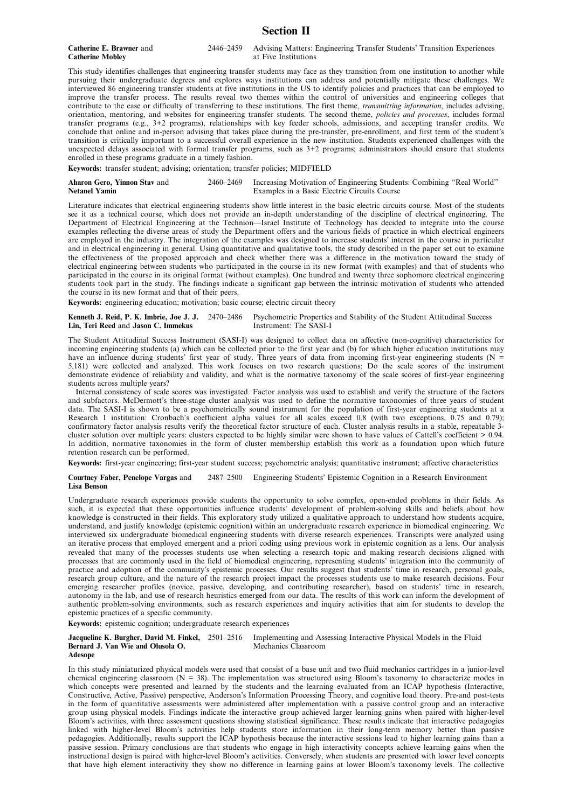### **Section II**

**Catherine Mobley** 

**Catherine E. Brawner** and 2446–2459 Advising Matters: Engineering Transfer Students' Transition Experiences<br> **Catherine Moblev** at Five Institutions

This study identifies challenges that engineering transfer students may face as they transition from one institution to another while pursuing their undergraduate degrees and explores ways institutions can address and potentially mitigate these challenges. We interviewed 86 engineering transfer students at five institutions in the US to identify policies and practices that can be employed to improve the transfer process. The results reveal two themes within the control of universities and engineering colleges that contribute to the ease or difficulty of transferring to these institutions. The first theme, *transmitting information*, includes advising, orientation, mentoring, and websites for engineering transfer students. The second theme, *policies and processes*, includes formal transfer programs (e.g., 3+2 programs), relationships with key feeder schools, admissions, and accepting transfer credits. We conclude that online and in-person advising that takes place during the pre-transfer, pre-enrollment, and first term of the student's transition is critically important to a successful overall experience in the new institution. Students experienced challenges with the unexpected delays associated with formal transfer programs, such as 3+2 programs; administrators should ensure that students enrolled in these programs graduate in a timely fashion.

**Keywords:** transfer student; advising; orientation; transfer policies; MIDFIELD

**Aharon Gero, Yinnon Stav** and 2460–2469 Increasing Motivation of Engineering Students: Combining ''Real World'' Examples in a Basic Electric Circuits Course

Literature indicates that electrical engineering students show little interest in the basic electric circuits course. Most of the students see it as a technical course, which does not provide an in-depth understanding of the discipline of electrical engineering. The Department of Electrical Engineering at the Technion—Israel Institute of Technology has decided to integrate into the course examples reflecting the diverse areas of study the Department offers and the various fields of practice in which electrical engineers are employed in the industry. The integration of the examples was designed to increase students' interest in the course in particular and in electrical engineering in general. Using quantitative and qualitative tools, the study described in the paper set out to examine the effectiveness of the proposed approach and check whether there was a difference in the motivation toward the study of electrical engineering between students who participated in the course in its new format (with examples) and that of students who participated in the course in its original format (without examples). One hundred and twenty three sophomore electrical engineering students took part in the study. The findings indicate a significant gap between the intrinsic motivation of students who attended the course in its new format and that of their peers.

**Keywords:** engineering education; motivation; basic course; electric circuit theory

**Kenneth J. Reid, P. K. Imbrie, Joe J. J.** 2470–2486 Psychometric Properties and Stability of the Student Attitudinal Success<br> **Lin. Teri Reed** and **Jason C. Immekus** Instrument: The SASI-I **Lin, Teri Reed** and **Jason C. Immekus** 

The Student Attitudinal Success Instrument (SASI-I) was designed to collect data on affective (non-cognitive) characteristics for incoming engineering students (a) which can be collected prior to the first year and (b) for which higher education institutions may have an influence during students' first year of study. Three years of data from incoming first-year engineering students ( $N =$ 5,181) were collected and analyzed. This work focuses on two research questions: Do the scale scores of the instrument demonstrate evidence of reliability and validity, and what is the normative taxonomy of the scale scores of first-year engineering students across multiple years?

Internal consistency of scale scores was investigated. Factor analysis was used to establish and verify the structure of the factors and subfactors. McDermott's three-stage cluster analysis was used to define the normative taxonomies of three years of student data. The SASI-I is shown to be a psychometrically sound instrument for the population of first-year engineering students at a Research 1 institution: Cronbach's coefficient alpha values for all scales exceed 0.8 (with two exceptions, 0.75 and 0.79); confirmatory factor analysis results verify the theoretical factor structure of each. Cluster analysis results in a stable, repeatable 3 cluster solution over multiple years: clusters expected to be highly similar were shown to have values of Cattell's coefficient > 0.94. In addition, normative taxonomies in the form of cluster membership establish this work as a foundation upon which future retention research can be performed.

**Keywords:** first-year engineering; first-year student success; psychometric analysis; quantitative instrument; affective characteristics

**Courtney Faber, Penelope Vargas** and 2487–2500 Engineering Students' Epistemic Cognition in a Research Environment **Lisa Benson**

Undergraduate research experiences provide students the opportunity to solve complex, open-ended problems in their fields. As such, it is expected that these opportunities influence students' development of problem-solving skills and beliefs about how knowledge is constructed in their fields. This exploratory study utilized a qualitative approach to understand how students acquire, understand, and justify knowledge (epistemic cognition) within an undergraduate research experience in biomedical engineering. We interviewed six undergraduate biomedical engineering students with diverse research experiences. Transcripts were analyzed using an iterative process that employed emergent and a priori coding using previous work in epistemic cognition as a lens. Our analysis revealed that many of the processes students use when selecting a research topic and making research decisions aligned with processes that are commonly used in the field of biomedical engineering, representing students' integration into the community of practice and adoption of the community's epistemic processes. Our results suggest that students' time in research, personal goals, research group culture, and the nature of the research project impact the processes students use to make research decisions. Four emerging researcher profiles (novice, passive, developing, and contributing researcher), based on students' time in research, autonomy in the lab, and use of research heuristics emerged from our data. The results of this work can inform the development of authentic problem-solving environments, such as research experiences and inquiry activities that aim for students to develop the epistemic practices of a specific community.

**Keywords:** epistemic cognition; undergraduate research experiences

**Jacqueline K. Burgher, David M. Finkel,** 2501–2516 Implementing and Assessing Interactive Physical Models in the Fluid Bernard J. Van Wie and Olusola O.<br>Mechanics Classroom Bernard J. Van Wie and Olusola O. **Adesope**

In this study miniaturized physical models were used that consist of a base unit and two fluid mechanics cartridges in a junior-level chemical engineering classroom ( $N = 38$ ). The implementation was structured using Bloom's taxonomy to characterize modes in which concepts were presented and learned by the students and the learning evaluated from an ICAP hypothesis (Interactive, Constructive, Active, Passive) perspective, Anderson's Information Processing Theory, and cognitive load theory. Pre-and post-tests in the form of quantitative assessments were administered after implementation with a passive control group and an interactive group using physical models. Findings indicate the interactive group achieved larger learning gains when paired with higher-level Bloom's activities, with three assessment questions showing statistical significance. These results indicate that interactive pedagogies linked with higher-level Bloom's activities help students store information in their long-term memory better than passive pedagogies. Additionally, results support the ICAP hypothesis because the interactive sessions lead to higher learning gains than a passive session. Primary conclusions are that students who engage in high interactivity concepts achieve learning gains when the instructional design is paired with higher-level Bloom's activities. Conversely, when students are presented with lower level concepts that have high element interactivity they show no difference in learning gains at lower Bloom's taxonomy levels. The collective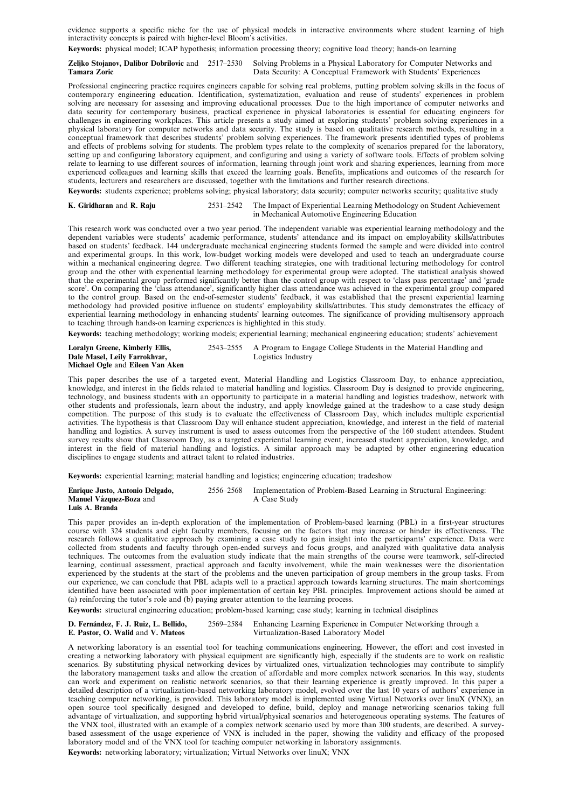evidence supports a specific niche for the use of physical models in interactive environments where student learning of high interactivity concepts is paired with higher-level Bloom's activities.

**Keywords:** physical model; ICAP hypothesis; information processing theory; cognitive load theory; hands-on learning

**Zeljko Stojanov, Dalibor Dobrilovic** and 2517–2530 Solving Problems in a Physical Laboratory for Computer Networks and Data Security: A Conceptual Framework with Students' Experiences

Professional engineering practice requires engineers capable for solving real problems, putting problem solving skills in the focus of contemporary engineering education. Identification, systematization, evaluation and reuse of students' experiences in problem solving are necessary for assessing and improving educational processes. Due to the high importance of computer networks and data security for contemporary business, practical experience in physical laboratories is essential for educating engineers for challenges in engineering workplaces. This article presents a study aimed at exploring students' problem solving experiences in a physical laboratory for computer networks and data security. The study is based on qualitative research methods, resulting in a conceptual framework that describes students' problem solving experiences. The framework presents identified types of problems and effects of problems solving for students. The problem types relate to the complexity of scenarios prepared for the laboratory, setting up and configuring laboratory equipment, and configuring and using a variety of software tools. Effects of problem solving relate to learning to use different sources of information, learning through joint work and sharing experiences, learning from more experienced colleagues and learning skills that exceed the learning goals. Benefits, implications and outcomes of the research for students, lecturers and researchers are discussed, together with the limitations and further research directions.

**Keywords:** students experience; problems solving; physical laboratory; data security; computer networks security; qualitative study

**K. Giridharan** and **R. Raju** 2531–2542 The Impact of Experiential Learning Methodology on Student Achievement in Mechanical Automotive Engineering Education

This research work was conducted over a two year period. The independent variable was experiential learning methodology and the dependent variables were students' academic performance, students' attendance and its impact on employability skills/attributes based on students' feedback. 144 undergraduate mechanical engineering students formed the sample and were divided into control and experimental groups. In this work, low-budget working models were developed and used to teach an undergraduate course within a mechanical engineering degree. Two different teaching strategies, one with traditional lecturing methodology for control group and the other with experiential learning methodology for experimental group were adopted. The statistical analysis showed that the experimental group performed significantly better than the control group with respect to 'class pass percentage' and 'grade score'. On comparing the 'class attendance', significantly higher class attendance was achieved in the experimental group compared to the control group. Based on the end-of-semester students' feedback, it was established that the present experiential learning methodology had provided positive influence on students' employability skills/attributes. This study demonstrates the efficacy of experiential learning methodology in enhancing students' learning outcomes. The significance of providing multisensory approach to teaching through hands-on learning experiences is highlighted in this study.

**Keywords:** teaching methodology; working models; experiential learning; mechanical engineering education; students' achievement

| Loralyn Greene, Kimberly Ellis,  | 2543–2555 A Program to Engage College Students in the Material Handling and |
|----------------------------------|-----------------------------------------------------------------------------|
| Dale Masel, Leily Farrokhvar,    | Logistics Industry                                                          |
| Michael Ogle and Eileen Van Aken |                                                                             |

This paper describes the use of a targeted event, Material Handling and Logistics Classroom Day, to enhance appreciation, knowledge, and interest in the fields related to material handling and logistics. Classroom Day is designed to provide engineering, technology, and business students with an opportunity to participate in a material handling and logistics tradeshow, network with other students and professionals, learn about the industry, and apply knowledge gained at the tradeshow to a case study design competition. The purpose of this study is to evaluate the effectiveness of Classroom Day, which includes multiple experiential activities. The hypothesis is that Classroom Day will enhance student appreciation, knowledge, and interest in the field of material handling and logistics. A survey instrument is used to assess outcomes from the perspective of the 160 student attendees. Student survey results show that Classroom Day, as a targeted experiential learning event, increased student appreciation, knowledge, and interest in the field of material handling and logistics. A similar approach may be adapted by other engineering education disciplines to engage students and attract talent to related industries.

**Keywords:** experiential learning; material handling and logistics; engineering education; tradeshow

| Enrique Justo, Antonio Delgado, | 2556–2568 Implementation of Problem-Based Learning in Structural Engineering: |
|---------------------------------|-------------------------------------------------------------------------------|
| <b>Manuel Vázquez-Boza</b> and  | A Case Study                                                                  |
| Luis A. Branda                  |                                                                               |

This paper provides an in-depth exploration of the implementation of Problem-based learning (PBL) in a first-year structures course with 324 students and eight faculty members, focusing on the factors that may increase or hinder its effectiveness. The research follows a qualitative approach by examining a case study to gain insight into the participants' experience. Data were collected from students and faculty through open-ended surveys and focus groups, and analyzed with qualitative data analysis techniques. The outcomes from the evaluation study indicate that the main strengths of the course were teamwork, self-directed learning, continual assessment, practical approach and faculty involvement, while the main weaknesses were the disorientation experienced by the students at the start of the problems and the uneven participation of group members in the group tasks. From our experience, we can conclude that PBL adapts well to a practical approach towards learning structures. The main shortcomings identified have been associated with poor implementation of certain key PBL principles. Improvement actions should be aimed at (a) reinforcing the tutor's role and (b) paying greater attention to the learning process.

**Keywords:** structural engineering education; problem-based learning; case study; learning in technical disciplines

**D. Fernández, F. J. Ruiz, L. Bellido,** 2569–2584 Enhancing Learning Experience in Computer Networking through a **E. Pastor, O. Walid** and **V. Mateos** Virtualization-Based Laboratory Model **Virtualization-Based Laboratory Model** 

A networking laboratory is an essential tool for teaching communications engineering. However, the effort and cost invested in creating a networking laboratory with physical equipment are significantly high, especially if the students are to work on realistic scenarios. By substituting physical networking devices by virtualized ones, virtualization technologies may contribute to simplify the laboratory management tasks and allow the creation of affordable and more complex network scenarios. In this way, students can work and experiment on realistic network scenarios, so that their learning experience is greatly improved. In this paper a detailed description of a virtualization-based networking laboratory model, evolved over the last 10 years of authors' experience in teaching computer networking, is provided. This laboratory model is implemented using Virtual Networks over linuX (VNX), an open source tool specifically designed and developed to define, build, deploy and manage networking scenarios taking full advantage of virtualization, and supporting hybrid virtual/physical scenarios and heterogeneous operating systems. The features of the VNX tool, illustrated with an example of a complex network scenario used by more than 300 students, are described. A surveybased assessment of the usage experience of VNX is included in the paper, showing the validity and efficacy of the proposed laboratory model and of the VNX tool for teaching computer networking in laboratory assignments.

**Keywords:** networking laboratory; virtualization; Virtual Networks over linuX; VNX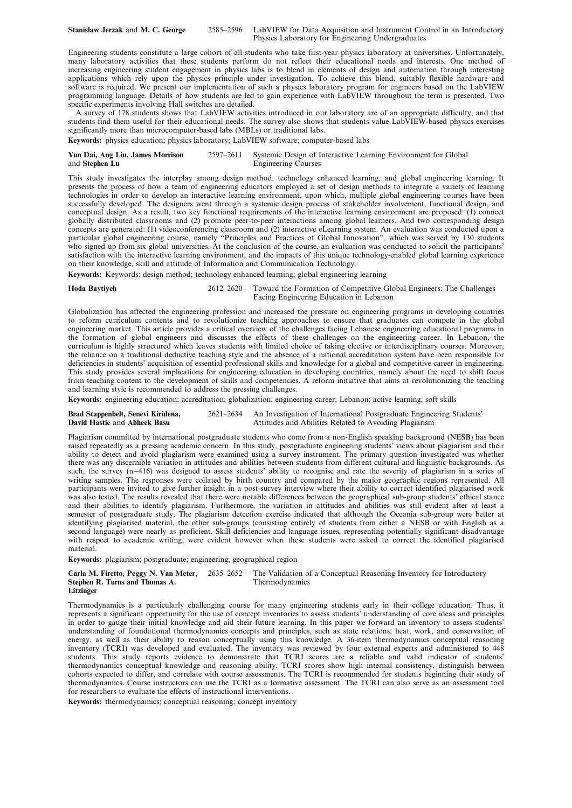Engineering students constitute a large cohort of all students who take first-year physics laboratory at universities. Unfortunately, many laboratory activities that these students perform do not reflect their educational needs and interests. One method of increasing engineering student engagement in physics labs is to blend in elements of design and automation through interesting applications which rely upon the physics principle under investigation. To achieve this blend, suitably flexible hardware and software is required. We present our implementation of such a physics laboratory program for engineers based on the LabVIEW programming language. Details of how students are led to gain experience with LabVIEW throughout the term is presented. Two specific experiments involving Hall switches are detailed.

A survey of 178 students shows that LabVIEW activities introduced in our laboratory are of an appropriate difficulty, and that students find them useful for their educational needs. The survey also shows that students value LabVIEW-based physics exercises significantly more than microcomputer-based labs (MBLs) or traditional labs.

**Keywords:** physics education; physics laboratory; LabVIEW software; computer-based labs

#### **Yun Dai, Ang Liu, James Morrison** 2597–2611 Systemic Design of Interactive Learning Environment for Global **Engineering Courses**

This study investigates the interplay among design method, technology enhanced learning, and global engineering learning. It presents the process of how a team of engineering educators employed a set of design methods to integrate a variety of learning technologies in order to develop an interactive learning environment, upon which, multiple global engineering courses have been successfully developed. The designers went through a systemic design process of stakeholder involvement, functional design, and conceptual design. As a result, two key functional requirements of the interactive learning environment are proposed: (1) connect globally distributed classrooms and (2) promote peer-to-peer interactions among global learners. And two corresponding design concepts are generated: (1) videoconferencing classroom and (2) interactive eLearning system. An evaluation was conducted upon a particular global engineering course, namely ''Principles and Practices of Global Innovation'', which was served by 130 students who signed up from six global universities. At the conclusion of the course, an evaluation was conducted to solicit the participants' satisfaction with the interactive learning environment, and the impacts of this unique technology-enabled global learning experience on their knowledge, skill and attitude of Information and Communication Technology.

**Keywords:** Keywords: design method; technology enhanced learning; global engineering learning

**Hoda Baytiyeh** 2612–2620 Toward the Formation of Competitive Global Engineers: The Challenges Facing Engineering Education in Lebanon

Globalization has affected the engineering profession and increased the pressure on engineering programs in developing countries to reform curriculum contents and to revolutionize teaching approaches to ensure that graduates can compete in the global engineering market. This article provides a critical overview of the challenges facing Lebanese engineering educational programs in the formation of global engineers and discusses the effects of these challenges on the engineering career. In Lebanon, the curriculum is highly structured which leaves students with limited choice of taking elective or interdisciplinary courses. Moreover, the reliance on a traditional deductive teaching style and the absence of a national accreditation system have been responsible for deficiencies in students' acquisition of essential professional skills and knowledge for a global and competitive career in engineering. This study provides several implications for engineering education in developing countries, namely about the need to shift focus from teaching content to the development of skills and competencies. A reform initiative that aims at revolutionizing the teaching and learning style is recommended to address the pressing challenges.

**Keywords:** engineering education; accreditation; globalization; engineering career; Lebanon; active learning; soft skills

**Brad Stappenbelt, Senevi Kiridena,** 2621–2634 An Investigation of International Postgraduate Engineering Students' Attitudes and Abilities Related to Avoiding Plagiarism

Plagiarism committed by international postgraduate students who come from a non-English speaking background (NESB) has been raised repeatedly as a pressing academic concern. In this study, postgraduate engineering students' views about plagiarism and their ability to detect and avoid plagiarism were examined using a survey instrument. The primary question investigated was whether there was any discernible variation in attitudes and abilities between students from different cultural and linguistic backgrounds. As such, the survey (n=416) was designed to assess students' ability to recognise and rate the severity of plagiarism in a series of writing samples. The responses were collated by birth country and compared by the major geographic regions represented. All participants were invited to give further insight in a post-survey interview where their ability to correct identified plagiarised work was also tested. The results revealed that there were notable differences between the geographical sub-group students' ethical stance and their abilities to identify plagiarism. Furthermore, the variation in attitudes and abilities was still evident after at least a semester of postgraduate study. The plagiarism detection exercise indicated that although the Oceania sub-group were better at identifying plagiarised material, the other sub-groups (consisting entirely of students from either a NESB or with English as a second language) were nearly as proficient. Skill deficiencies and language issues, representing potentially significant disadvantage with respect to academic writing, were evident however when these students were asked to correct the identified plagiarised material.

**Keywords:** plagiarism; postgraduate; engineering; geographical region

|                                | <b>Carla M. Firetto, Peggy N. Van Meter,</b> 2635–2652 The Validation of a Conceptual Reasoning Inventory for Introductory |
|--------------------------------|----------------------------------------------------------------------------------------------------------------------------|
| Stephen R. Turns and Thomas A. | Thermodynamics                                                                                                             |
| Litzinger                      |                                                                                                                            |

Thermodynamics is a particularly challenging course for many engineering students early in their college education. Thus, it represents a significant opportunity for the use of concept inventories to assess students' understanding of core ideas and principles in order to gauge their initial knowledge and aid their future learning. In this paper we forward an inventory to assess students' understanding of foundational thermodynamics concepts and principles, such as state relations, heat, work, and conservation of energy, as well as their ability to reason conceptually using this knowledge. A 36-item thermodynamics conceptual reasoning inventory (TCRI) was developed and evaluated. The inventory was reviewed by four external experts and administered to 448 students. This study reports evidence to demonstrate that TCRI scores are a reliable and valid indicator of students' thermodynamics conceptual knowledge and reasoning ability. TCRI scores show high internal consistency, distinguish between cohorts expected to differ, and correlate with course assessments. The TCRI is recommended for students beginning their study of thermodynamics. Course instructors can use the TCRI as a formative assessment. The TCRI can also serve as an assessment tool for researchers to evaluate the effects of instructional interventions.

**Keywords:** thermodynamics; conceptual reasoning; concept inventory